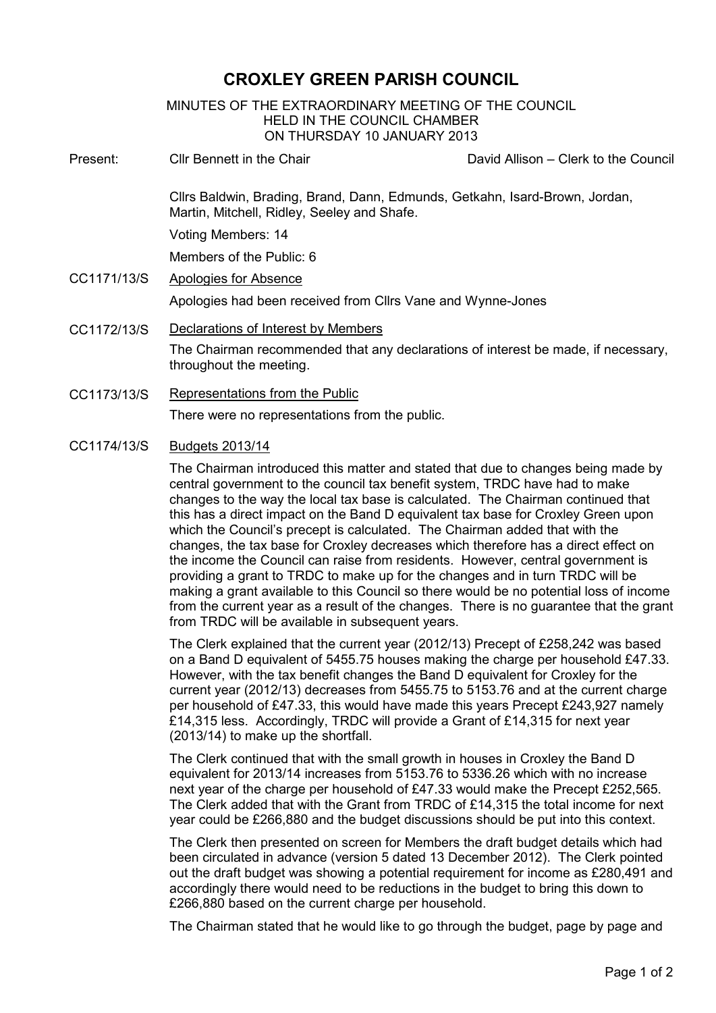## **CROXLEY GREEN PARISH COUNCIL**

MINUTES OF THE EXTRAORDINARY MEETING OF THE COUNCIL HELD IN THE COUNCIL CHAMBER ON THURSDAY 10 JANUARY 2013

- Present: Cllr Bennett in the Chair David Allison Clerk to the Council Cllrs Baldwin, Brading, Brand, Dann, Edmunds, Getkahn, Isard-Brown, Jordan, Martin, Mitchell, Ridley, Seeley and Shafe. Voting Members: 14 Members of the Public: 6 CC1171/13/S Apologies for Absence Apologies had been received from Cllrs Vane and Wynne-Jones CC1172/13/S Declarations of Interest by Members The Chairman recommended that any declarations of interest be made, if necessary, throughout the meeting.
- CC1173/13/S Representations from the Public There were no representations from the public.

## CC1174/13/S Budgets 2013/14

The Chairman introduced this matter and stated that due to changes being made by central government to the council tax benefit system, TRDC have had to make changes to the way the local tax base is calculated. The Chairman continued that this has a direct impact on the Band D equivalent tax base for Croxley Green upon which the Council's precept is calculated. The Chairman added that with the changes, the tax base for Croxley decreases which therefore has a direct effect on the income the Council can raise from residents. However, central government is providing a grant to TRDC to make up for the changes and in turn TRDC will be making a grant available to this Council so there would be no potential loss of income from the current year as a result of the changes. There is no guarantee that the grant from TRDC will be available in subsequent years.

The Clerk explained that the current year (2012/13) Precept of £258,242 was based on a Band D equivalent of 5455.75 houses making the charge per household £47.33. However, with the tax benefit changes the Band D equivalent for Croxley for the current year (2012/13) decreases from 5455.75 to 5153.76 and at the current charge per household of £47.33, this would have made this years Precept £243,927 namely £14,315 less. Accordingly, TRDC will provide a Grant of £14,315 for next year (2013/14) to make up the shortfall.

The Clerk continued that with the small growth in houses in Croxley the Band D equivalent for 2013/14 increases from 5153.76 to 5336.26 which with no increase next year of the charge per household of £47.33 would make the Precept £252,565. The Clerk added that with the Grant from TRDC of £14,315 the total income for next year could be £266,880 and the budget discussions should be put into this context.

The Clerk then presented on screen for Members the draft budget details which had been circulated in advance (version 5 dated 13 December 2012). The Clerk pointed out the draft budget was showing a potential requirement for income as £280,491 and accordingly there would need to be reductions in the budget to bring this down to £266,880 based on the current charge per household.

The Chairman stated that he would like to go through the budget, page by page and